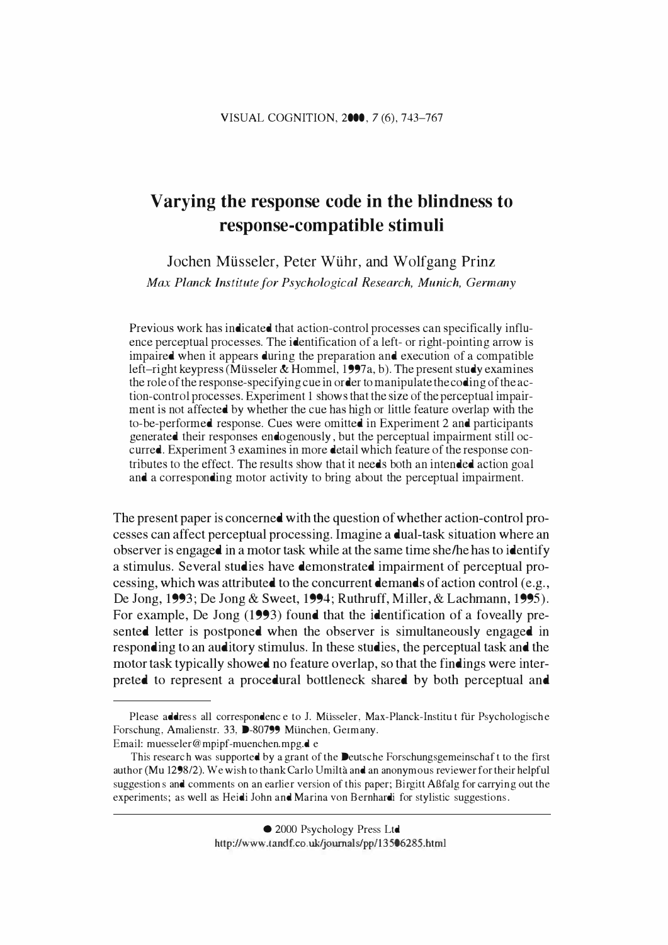# Varying the response code in the blindness to response-compatible stimuli

Jochen Müsseler, Peter Wühr, and Wolfgang Prinz

Max Planck Institute for Psychological Research, Munich, Germany

Previous work has indicated that action-control processes can specifically influence perceptual processes. The identification of a left- or right-pointing arrow is impaired when it appears during the preparation and execution of a compatible left-right keypress (Müsseler & Hommel, 1997a, b). The present study examines the role of the response-specifying cue in order to manipulate the coding of the action-control processes. Experiment 1 shows that the size of the perceptual impairment is not affected by whether the cue has high or little feature overlap with the to-be-performed response. Cues were omitted in Experiment 2 and participants generated their responses endogenously , but the perceptual impairment still occurred. Experiment 3 examines in more detail which feature of the response contributes to the effect. The results show that it needs both an intended action goal and a corresponding motor activity to bring about the perceptual impairment.

The present paper is concerned with the question of whether action-control processes can affect perceptual processing. Imagine a dual-task situation where an observer is engaged in a motor task while at the same time shelhe has to identify a stimulus. Several studies have demonstrated impairment of perceptual processing, which was attributed to the concurrent demands of action control (e.g., De Jong, 1993; De Jong & Sweet, 1994; Ruthruff, Miller, & Lachmann, 1995). For example, De Jong (1993) found that the identification of a foveally presented letter is postponed when the observer is simultaneously engaged in responding to an auditory stimulus. In these studies, the perceptual task and the motor task typically showed no feature overlap, so that the findings were interpreted to represent a procedural bottleneck shared by both perceptual and

Please address all correspondence to J. Müsseler, Max-Planck-Institut für Psychologische Forschung, Amalienstr. 33, D-80799 München, Germany. Email: muesseler@mpipf-muenchen.mpg.d e

This research was supported by a grant of the Deutsche Forschungsgemeinschaf t to the first author (Mu 1298/2). We wish to thank Carlo Umiltà and an anonymous reviewer for their helpful suggestion s and comments on an earlier version of this paper; Birgitt ABfalg for carrying out the experiments; as well as Heidi John and Marina von Bernhardi for stylistic suggestions .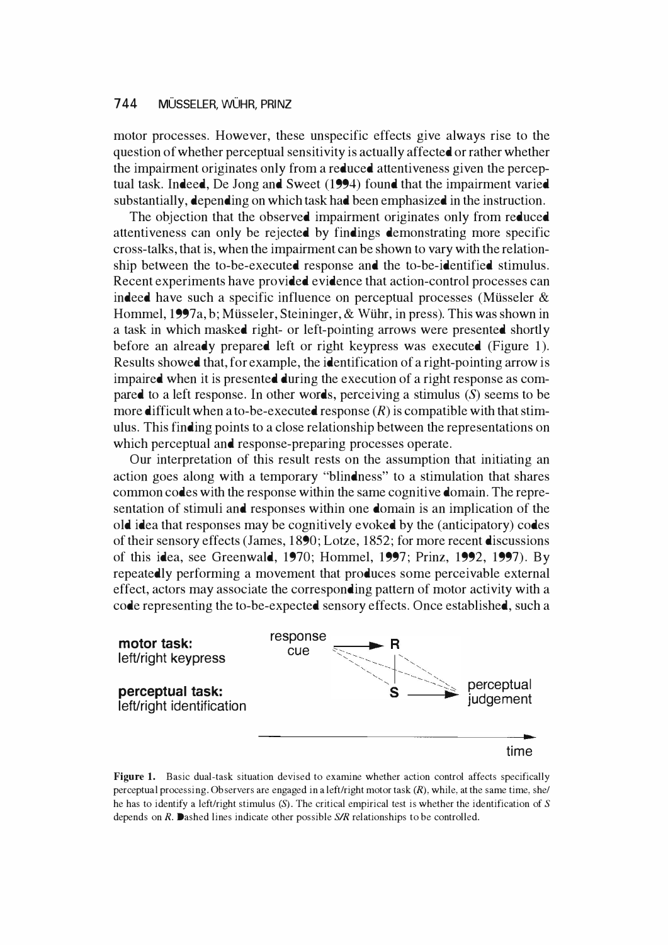#### .. .. 744 MUSSELER, WUHR, PRINZ

motor processes. However, these unspecific effects give always rise to the question of whether perceptual sensitivity is actually affected or rather whether the impairment originates only from a reduced attentiveness given the perceptual task. Indeed, De Jong and Sweet (1994) found that the impairment varied substantially, depending on which task had been emphasized in the instruction.

The objection that the observed impairment originates only from reduced attentiveness can only be rejected by findings demonstrating more specific cross-talks, that is, when the impairment can be shown to vary with the relationship between the to-be-executed response and the to-be-identified stimulus. Recent experiments have provided evidence that action-control processes can indeed have such a specific influence on perceptual processes (Müsseler  $\&$ Hommel, 1997a, b; Miisseler, Steininger, & Wiihr, in press). This was shown in a task in which masked right- or left-pointing arrows were presented shortly before an already prepared left or right keypress was executed (Figure 1). Results showed that, for example, the identification of a right-pointing arrow is impaired when it is presented during the execution of a right response as compared to a left response. In other words, perceiving a stimulus (S) seems to be more difficult when a to-be-executed response  $(R)$  is compatible with that stimulus. This finding points to a close relationship between the representations on which perceptual and response-preparing processes operate.

Our interpretation of this result rests on the assumption that initiating an action goes along with a temporary "blindness" to a stimulation that shares common codes with the response within the same cognitive domain. The representation of stimuli and responses within one domain is an implication of the old idea that responses may be cognitively evoked by the (anticipatory) codes of their sensory effects (James, 1890; Lotze, 1852; for more recent discussions of this idea, see Greenwald, 1970; Hommel, 1997; Prinz, 1992, 1997). By repeatedly performing a movement that produces some perceivable external effect, actors may associate the corresponding pattern of motor activity with a code representing the to-be-expected sensory effects. Once established, such a



Figure 1. Basic dual-task situation devised to examine whether action control affects specifically perceptual processing. Observers are engaged in a left/right motor task  $(R)$ , while, at the same time, she/ he has to identify a left/right stimulus  $(S)$ . The critical empirical test is whether the identification of S depends on R. Dashed lines indicate other possible S/R relationships to be controlled.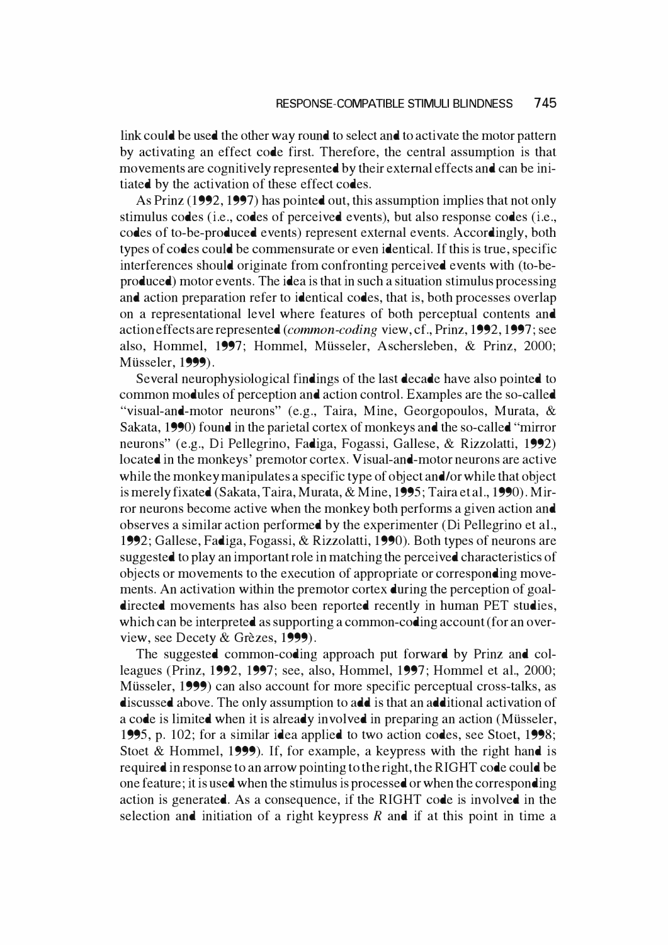link could be used the other way round to select and to activate the motor pattern by activating an effect code first. Therefore, the central assumption is that movements are cognitively represented by their external effects and can be initiated by the activation of these effect codes.

As Prinz (1992, 1997) has pointed out, this assumption implies that not only stimulus codes (i.e., codes of perceived events), but also response codes (i.e., codes of to-be-produced events) represent external events. Accordingly, both types of codes could be commensurate or even identical. If this is true, specific interferences should originate from confronting perceived events with (to-beproduced) motor events. The idea is that in such a situation stimulus processing and action preparation refer to identical codes, that is, both processes overlap on a representational level where features of both perceptual contents and action effects are represented (common-coding view, cf., Prinz, 1992, 1997; see also, Hommel, 1997; Hommel, Müsseler, Aschersleben, & Prinz, 2000; Miisseler, 1999).

Several neurophysiological findings of the last decade have also pointed to common modules of perception and action control. Examples are the so-called "visual-and-motor neurons" (e.g., Taira, Mine, Georgopoulos, Murata, & Sakata, 1990) found in the parietal cortex of monkeys and the so-called "mirror neurons" (e.g., Di Pellegrino, Fadiga, Fogassi, Gallese, & Rizzolatti, 1992) located in the monkeys' premotor cortex. Visual-and-motor neurons are active while the monkey manipulates a specific type of object and/or while that object is merely fixated (Sakata, Taira, Murata, & Mine, 1995; Taira et al., 1990). Mirror neurons become active when the monkey both performs a given action and observes a similar action performed by the experimenter (Di Pellegrino et aI., 1992; Gallese, Fadiga, Fogassi, & Rizzolatti, 1990). Both types of neurons are suggested to play an important role in matching the perceived characteristics of objects or movements to the execution of appropriate or corresponding movements. An activation within the premotor cortex during the perception of goaldirected movements has also been reported recently in human PET studies, which can be interpreted as supporting a common-coding account (for an overview, see Decety & Grèzes, 1999).

The suggested common-coding approach put forward by Prinz and colleagues (Prinz, 1992, 1997; see, also, Hommel, 1997; Hommel et aI., 2000; Miisseler, 1999) can also account for more specific perceptual cross-talks, as discussed above. The only assumption to add is that an additional activation of a code is limited when it is already involved in preparing an action (Miisseler, 1995, p. 102; for a similar idea applied to two action codes, see Stoet, 1998; Stoet & Hommel, 1999). If, for example, a keypress with the right hand is required in response to an arrow pointing to the right, the RIGHT code could be one feature; it is used when the stimulus is processed or when the corresponding action is generated. As a consequence, if the RIGHT code is involved in the selection and initiation of a right keypress  $R$  and if at this point in time a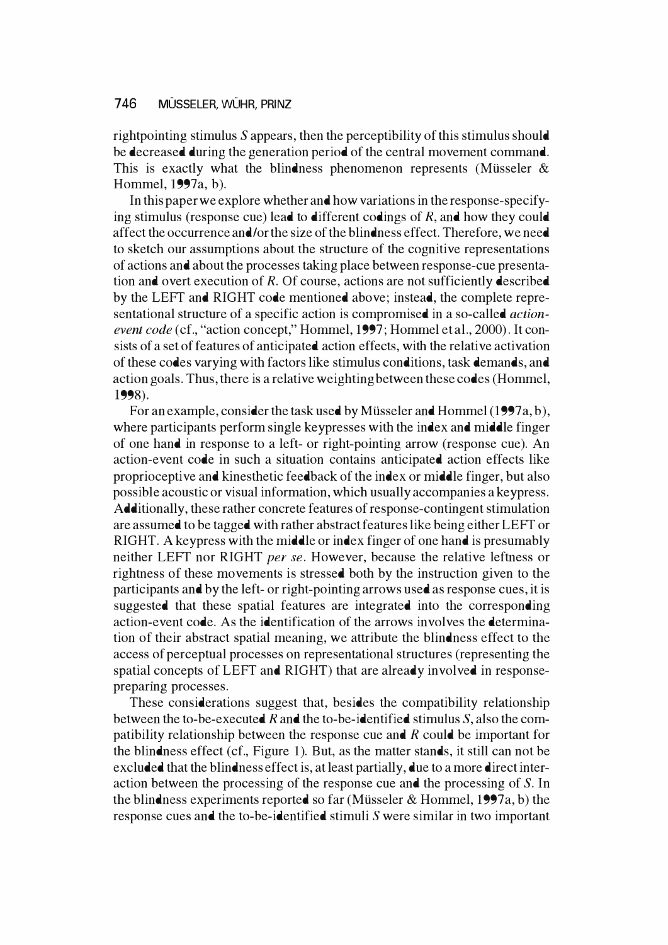rightpointing stimulus S appears, then the perceptibility of this stimulus should be decreased during the generation period of the central movement command. This is exactly what the blindness phenomenon represents (Müsseler  $\&$ Hommel, 1997a, b).

In this paper we explore whether and how variations in the response-specifying stimulus (response cue) lead to different codings of  $R$ , and how they could affect the occurrence and/or the size of the blindness effect. Therefore, we need to sketch our assumptions about the structure of the cognitive representations of actions and about the processes taking place between response-cue presentation and overt execution of R. Of course, actions are not sufficiently described by the LEFT and RIGHT code mentioned above; instead, the complete representational structure of a specific action is compromised in a so-called *action*event code (cf., "action concept," Hommel, 1997; Hommel et al., 2000). It consists of a set of features of anticipated action effects, with the relative activation of these codes varying with factors like stimulus conditions, task demands, and action goals. Thus, there is a relative weighting between these codes (Hommel, 1998).

For an example, consider the task used by Miisseler and Hommel (1997a, b), where participants perform single keypresses with the index and middle finger of one hand in response to a left- or right-pointing arrow (response cue). An action-event code in such a situation contains anticipated action effects like proprioceptive and kinesthetic feedback of the index or middle finger, but also possible acoustic or visual information, which usually accompanies a keypress. Additionally, these rather concrete features of response-contingent stimulation are assumed to be tagged with rather abstract features like being either LEFT or RIGHT. A keypress with the middle or index finger of one hand is presumably neither LEFT nor RIGHT per se. However, because the relative leftness or rightness of these movements is stressed both by the instruction given to the participants and by the left- or right-pointing arrows used as response cues, it is suggested that these spatial features are integrated into the corresponding action-event code. As the identification of the arrows involves the determination of their abstract spatial meaning, we attribute the blindness effect to the access of perceptual processes on representational structures (representing the spatial concepts of LEFT and RIGHT) that are already involved in responsepreparing processes.

These considerations suggest that, besides the compatibility relationship between the to-be-executed  $R$  and the to-be-identified stimulus  $S$ , also the compatibility relationship between the response cue and  $R$  could be important for the blindness effect (cf., Figure 1). But, as the matter stands, it still can not be excluded that the blindness effect is, at least partially, due to a more direct interaction between the processing of the response cue and the processing of S. In the blindness experiments reported so far (Miisseler & Hommel, 1997a, b) the response cues and the to-be-identified stimuli S were similar in two important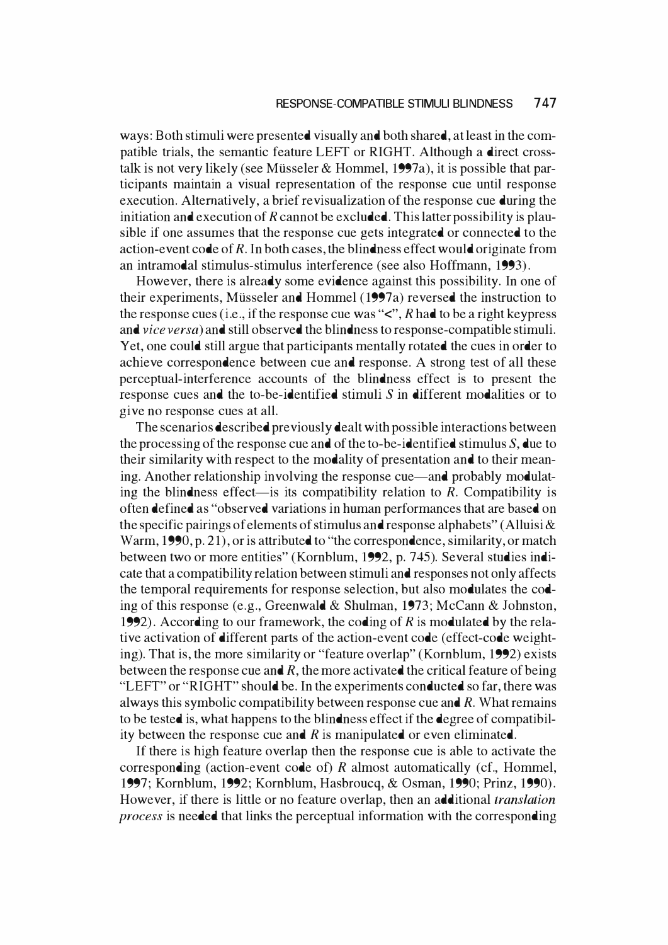ways: Both stimuli were presented visually and both shared, at least in the compatible trials, the semantic feature LEFT or RIGHT. Although a direct crosstalk is not very likely (see Müsseler & Hommel, 1997a), it is possible that participants maintain a visual representation of the response cue until response execution. Alternatively, a brief revisualization of the response cue during the initiation and execution of  $R$  cannot be excluded. This latter possibility is plausible if one assumes that the response cue gets integrated or connected to the action-event code of R. In both cases, the blindness effect would originate from an intramodal stimulus-stimulus interference (see also Hoffmann, 1993).

However, there is already some evidence against this possibility. In one of their experiments, Miisseler and Hommel (1997a) reversed the instruction to the response cues (i.e., if the response cue was " $\lt$ ", R had to be a right keypress and vice versa) and still observed the blindness to response-compatible stimuli. Yet, one could still argue that participants mentally rotated the cues in order to achieve correspondence between cue and response. A strong test of all these perceptual-interference accounts of the blindness effect is to present the response cues and the to-be-identified stimuli S in different modalities or to give no response cues at all.

The scenarios described previously dealt with possible interactions between the processing of the response cue and of the to-be-identified stimulus  $S$ , due to their similarity with respect to the modality of presentation and to their meaning. Another relationship involving the response cue—and probably modulating the blindness effect—is its compatibility relation to  $R$ . Compatibility is often defined as "observed variations in human performances that are based on the specific pairings of elements of stimulus and response alphabets" (Alluisi  $\&$ Warm, 1990, p. 21), or is attributed to "the correspondence, similarity, or match between two or more entities" (Kornblum, 1992, p. 745). Several studies indicate that a compatibility relation between stimuli and responses not only affects the temporal requirements for response selection, but also modulates the coding of this response (e.g., Greenwald & Shulman, 1973; McCann & Johnston, 1992). According to our framework, the coding of  $R$  is modulated by the relative activation of different parts of the action-event code (effect-code weighting). That is, the more similarity or "feature overlap" (Kornblum, 1992) exists between the response cue and  $R$ , the more activated the critical feature of being "LEFT" or "RIGHT" should be. In the experiments conducted so far, there was always this symbolic compatibility between response cue and  $R$ . What remains to be tested is, what happens to the blindness effect if the degree of compatibility between the response cue and  $R$  is manipulated or even eliminated.

If there is high feature overlap then the response cue is able to activate the corresponding (action-event code of)  $R$  almost automatically (cf., Hommel, 1997; Kornblum, 1992; Kornblum, Hasbroucq, & Osman, 1990; Prinz, 1990). However, if there is little or no feature overlap, then an additional *translation* process is needed that links the perceptual information with the corresponding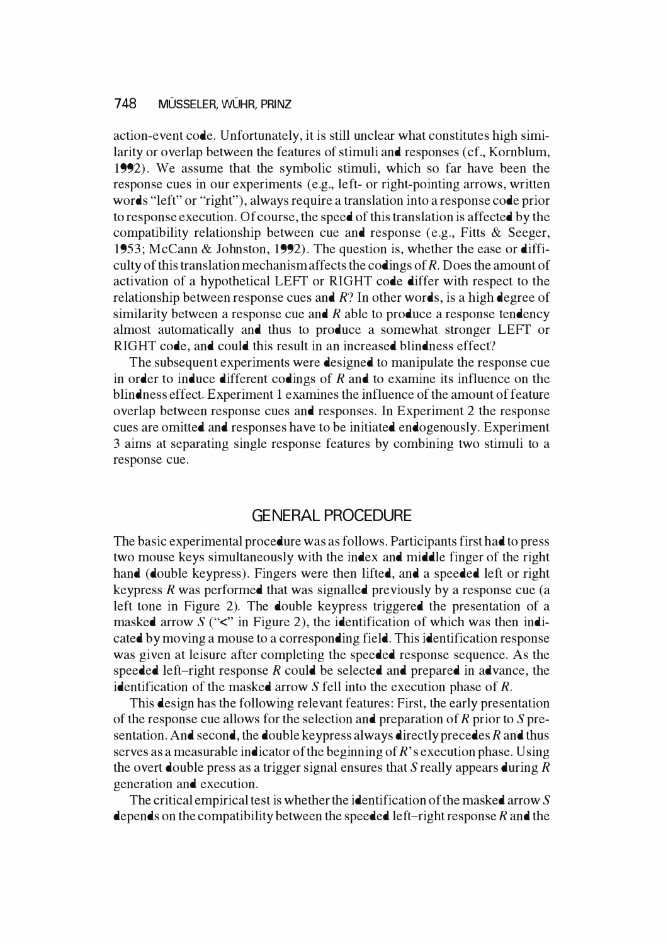action-event code. Unfortunately, it is still unclear what constitutes high similarity or overlap between the features of stimuli and responses (cf., Kornblum, 1992). We assume that the symbolic stimuli, which so far have been the response cues in our experiments (e.g., left- or right-pointing arrows, written words "left" or "right"), always require a translation into a response code prior to response execution. Of course, the speed of this translation is affected by the compatibility relationship between cue and response (e.g., Fitts & Seeger, 1953; McCann & Johnston, 1992). The question is, whether the ease or difficulty of this translation mechanism affects the codings of R. Does the amount of activation of a hypothetical LEFT or RIGHT code differ with respect to the relationship between response cues and  $R$ ? In other words, is a high degree of similarity between a response cue and  $R$  able to produce a response tendency almost automatically and thus to produce a somewhat stronger LEFT or RIGHT code, and could this result in an increased blindness effect?

The subsequent experiments were designed to manipulate the response cue in order to induce different codings of  $R$  and to examine its influence on the blindness effect. Experiment 1 examines the influence of the amount of feature overlap between response cues and responses. In Experiment 2 the response cues are omitted and responses have to be initiated endogenously. Experiment 3 aims at separating single response features by combining two stimuli to a response cue.

# GENERAL PROCEDURE

The basic experimental procedure was as follows. Participants first had to press two mouse keys simultaneously with the index and middle finger of the right hand (double keypress). Fingers were then lifted, and a speeded left or right keypress  $R$  was performed that was signalled previously by a response cue (a left tone in Figure 2). The double keypress triggered the presentation of a masked arrow S (" $\leq$ " in Figure 2), the identification of which was then indicated by moving a mouse to a corresponding field. This identification response was given at leisure after completing the speeded response sequence. As the speeded left-right response  $R$  could be selected and prepared in advance, the identification of the masked arrow S fell into the execution phase of R.

This design has the following relevant features: First, the early presentation of the response cue allows for the selection and preparation of  $R$  prior to  $S$  presentation. And second, the double keypress always directly precedes  $R$  and thus serves as a measurable indicator of the beginning of  $R$ 's execution phase. Using the overt double press as a trigger signal ensures that S really appears during  $R$ generation and execution.

The critical empirical test is whether the identification of the masked arrow  $S$ depends on the compatibility between the speeded left-right response  $R$  and the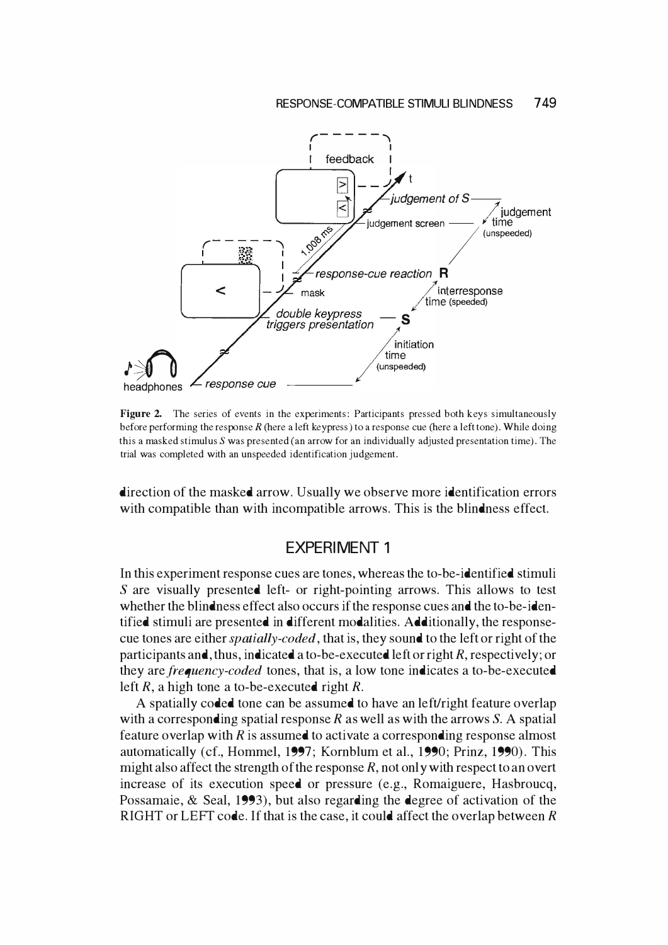

Figure 2. The series of events in the experiments: Participants pressed both keys simultaneously before performing the response  $R$  (here a left keypress) to a response cue (here a left tone). While doing this a masked stimulus  $S$  was presented (an arrow for an individually adjusted presentation time). The trial was completed with an unspeeded identification judgement.

direction of the masked arrow. Usually we observe more identification errors with compatible than with incompatible arrows. This is the blindness effect.

# **EXPERIMENT 1**

In this experiment response cues are tones, whereas the to-be-identified stimuli S are visually presented left- or right-pointing arrows. This allows to test whether the blindness effect also occurs if the response cues and the to-be-identified stimuli are presented in different modalities. Additionally, the responsecue tones are either *spatially-coded*, that is, they sound to the left or right of the participants and, thus, indicated a to-be-executed left or right R, respectively; or they are *frequency-coded* tones, that is, a low tone indicates a to-be-executed left  $R$ , a high tone a to-be-executed right  $R$ .

A spatially coded tone can be assumed to have an left/right feature overlap with a corresponding spatial response  $R$  as well as with the arrows  $S$ . A spatial feature overlap with  $R$  is assumed to activate a corresponding response almost automatically (cf., Hommel, 1997; Kornblum et aI., 1990; Prinz, 1990). This might also affect the strength of the response  $R$ , not only with respect to an overt increase of its execution speed or pressure (e.g., Romaiguere, Hasbroucq, Possamaie, & Seal, 1993), but also regarding the degree of activation of the RIGHT or LEFT code. If that is the case, it could affect the overlap between  $R$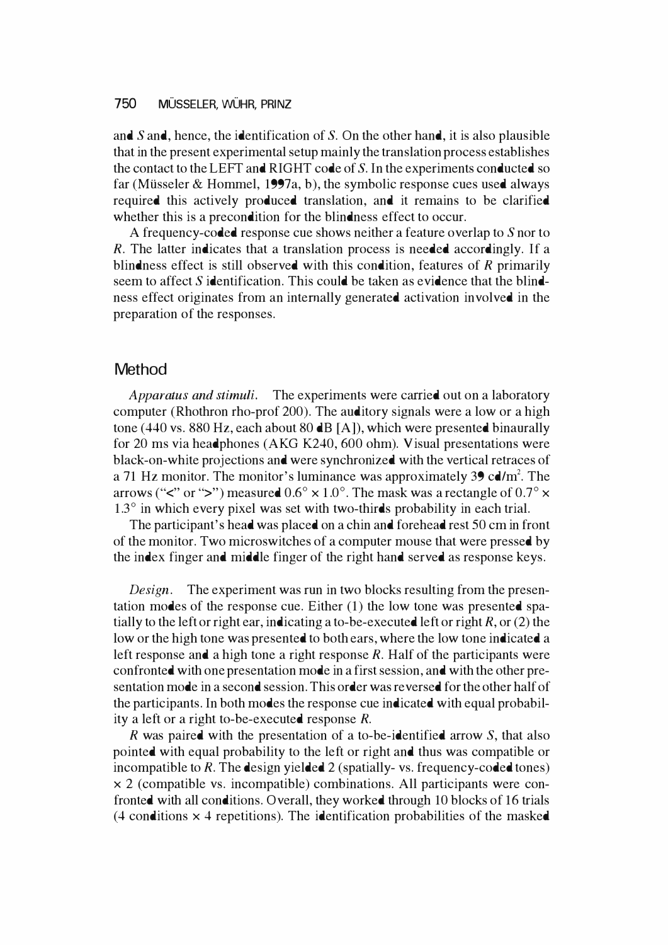and  $S$  and, hence, the identification of  $S$ . On the other hand, it is also plausible that in the present experimental setup mainly the translation process establishes the contact to the LEFT and RIGHT code of S. In the experiments conducted so far (Müsseler & Hommel, 1997a, b), the symbolic response cues used always required this actively produced translation, and it remains to be clarified whether this is a precondition for the blindness effect to occur.

A frequency-coded response cue shows neither a feature overlap to S nor to R. The latter indicates that a translation process is needed accordingly. If a blindness effect is still observed with this condition, features of  $R$  primarily seem to affect S identification. This could be taken as evidence that the blindness effect originates from an internally generated activation involved in the preparation of the responses.

## **Method**

Apparatus and stimuli. The experiments were carried out on a laboratory computer (Rhothron rho-prof 200). The auditory signals were a low or a high tone (440 vs. 880 Hz, each about 80 dB [A]), which were presented binaurally for 20 ms via headphones (AKG K240, 600 ohm). Visual presentations were black-on-white projections and were synchronized with the vertical retraces of a 71 Hz monitor. The monitor's luminance was approximately 39 cd/m<sup>2</sup>. The arrows (" $\lt$ " or ">") measured 0.6°  $\times$  1.0°. The mask was a rectangle of 0.7°  $\times$ 1.3° in which every pixel was set with two-thirds probability in each trial.

The participant's head was placed on a chin and forehead rest 50 cm in front of the monitor. Two microswitches of a computer mouse that were pressed by the index finger and middle finger of the right hand served as response keys.

Design. The experiment was run in two blocks resulting from the presentation modes of the response cue. Either (1) the low tone was presented spatially to the left or right ear, indicating a to-be-executed left or right  $R$ , or (2) the low or the high tone was presented to both ears, where the low tone indicated a left response and a high tone a right response  $R$ . Half of the participants were confronted with one presentation mode in a first session, and with the other presentation mode in a second session. This order was reversed for the other half of the participants. In both modes the response cue indicated with equal probability a left or a right to-be-executed response R.

R was paired with the presentation of a to-be-identified arrow S, that also pointed with equal probability to the left or right and thus was compatible or incompatible to  $R$ . The design yielded 2 (spatially-vs. frequency-coded tones)  $\times$  2 (compatible vs. incompatible) combinations. All participants were confronted with all conditions. Overall, they worked through 10 blocks of 16 trials  $(4$  conditions  $\times$  4 repetitions). The identification probabilities of the masked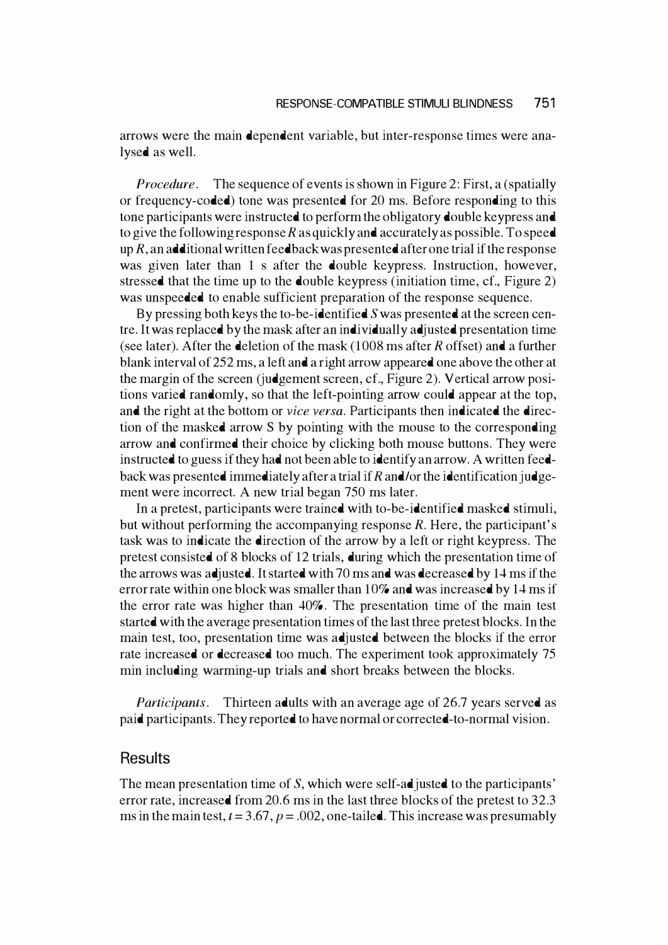arrows were the main dependent variable, but inter-response times were analysed as well.

Procedure. The sequence of events is shown in Figure 2: First, a (spatially or frequency-coded) tone was presented for 20 ms. Before responding to this tone participants were instructed to perform the obligatory double keypress and to give the following response R as quickly and accurately as possible. To speed up  $R$ , an additional written feedback was presented after one trial if the response was given later than 1 s after the double keypress. Instruction, however, stressed that the time up to the double keypress (initiation time, cf., Figure 2) was unspeeded to enable sufficient preparation of the response sequence.

By pressing both keys the to-be-identified S was presented at the screen centre. It was replaced by the mask after an individuall y adjusted presentation time (see later). After the deletion of the mask  $(1008 \text{ ms after } R \text{ offset})$  and a further blank interval of 252 ms, a left and a right arrow appeared one above the other at the margin of the screen (judgement screen, cf., Figure 2). Vertical arrow positions varied randomly, so that the left-pointing arrow could appear at the top, and the right at the bottom or vice versa. Participants then indicated the direction of the masked arrow S by pointing with the mouse to the corresponding arrow and confirmed their choice by clicking both mouse buttons. They were instructed to guess if they had not been able to identify an arrow. A written feedback was presented immediately after a trial if R and/or the identification judgement were incorrect. A new trial began 750 ms later.

In a pretest, participants were trained with to-be-identified masked stimuli, but without performing the accompanying response R. Here, the participant's task was to indicate the direction of the arrow by a left or right keypress. The pretest consisted of 8 blocks of 12 trials, during which the presentation time of the arrows was adjusted. It started with 70 ms and was decreased by 14 ms if the error rate within one block was smaller than 10% and was increased by 14 ms if the error rate was higher than 40%. The presentation time of the main test started with the average presentation times of the last three pretest blocks. In the main test, too, presentation time was adjusted between the blocks if the error rate increased or decreased too much. The experiment took approximately 75 min including warming-up trials and short breaks between the blocks.

Participants. Thirteen adults with an average age of 26.7 years served as paid participants. They reported to have normal or corrected-to-normal vision.

# **Results**

The mean presentation time of S, which were self-adjusted to the participants' error rate, increased from 20.6 ms in the last three blocks of the pretest to 32.3 ms in the main test,  $t = 3.67$ ,  $p = .002$ , one-tailed. This increase was presumably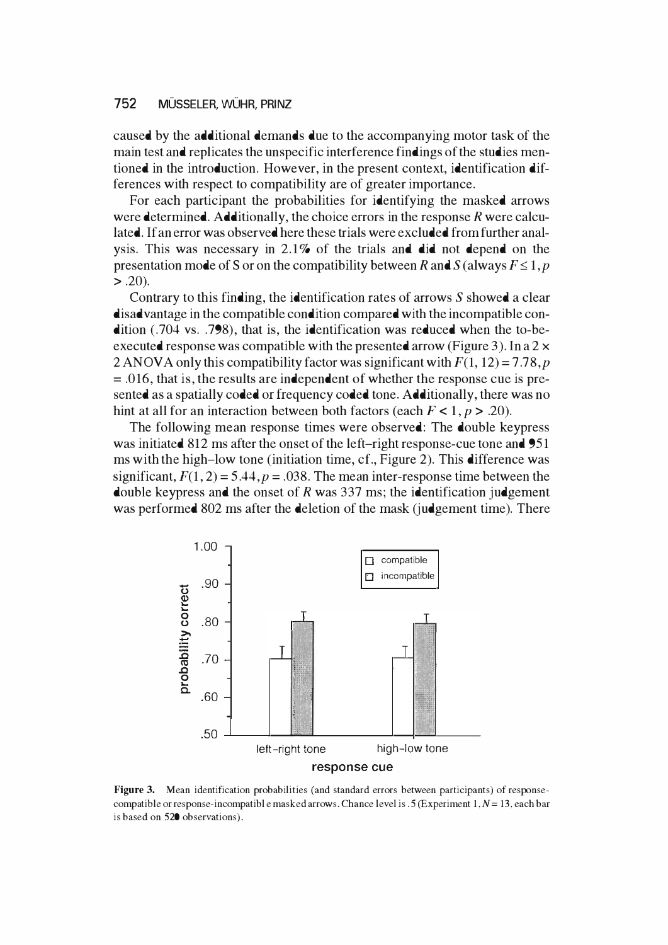caused by the additional demands due to the accompanying motor task of the main test and replicates the unspecific interference findings of the studies mentioned in the introduction. However, in the present context, identification differences with respect to compatibility are of greater importance.

For each participant the probabilities for identifying the masked arrows were determined. Additionally, the choice errors in the response R were calculated. If an error was observed here these trials were excluded from further analysis. This was necessary in  $2.1\%$  of the trials and did not depend on the presentation mode of S or on the compatibility between R and S (always  $F \le 1, p$  $> .20$ ).

Contrary to this finding, the identification rates of arrows  $S$  showed a clear disadvantage in the compatible condition compared with the incompatible condition (.704 vs. .798), that is, the identification was reduced when the to-beexecuted response was compatible with the presented arrow (Figure 3). In a  $2 \times$ 2 ANOVA only this compatibility factor was significant with  $F(1, 12) = 7.78, p$ = .016, that is, the results are independent of whether the response cue is presented as a spatially coded or frequency coded tone. Additionally, there was no hint at all for an interaction between both factors (each  $F < 1$ ,  $p > .20$ ).

The following mean response times were observed: The double keypress was initiated 812 ms after the onset of the left-right response-cue tone and 951 ms with the high-low tone (initiation time, cf., Figure 2). This difference was significant,  $F(1, 2) = 5.44$ ,  $p = 0.038$ . The mean inter-response time between the double keypress and the onset of R was  $337 \text{ ms}$ ; the identification judgement was performed 802 ms after the deletion of the mask (judgement time). There



Figure 3. Mean identification probabilities (and standard errors between participants) of responsecompatible or response-incompatible masked arrows. Chance level is .5 (Experiment 1,  $N = 13$ , each bar is based on 520 observations).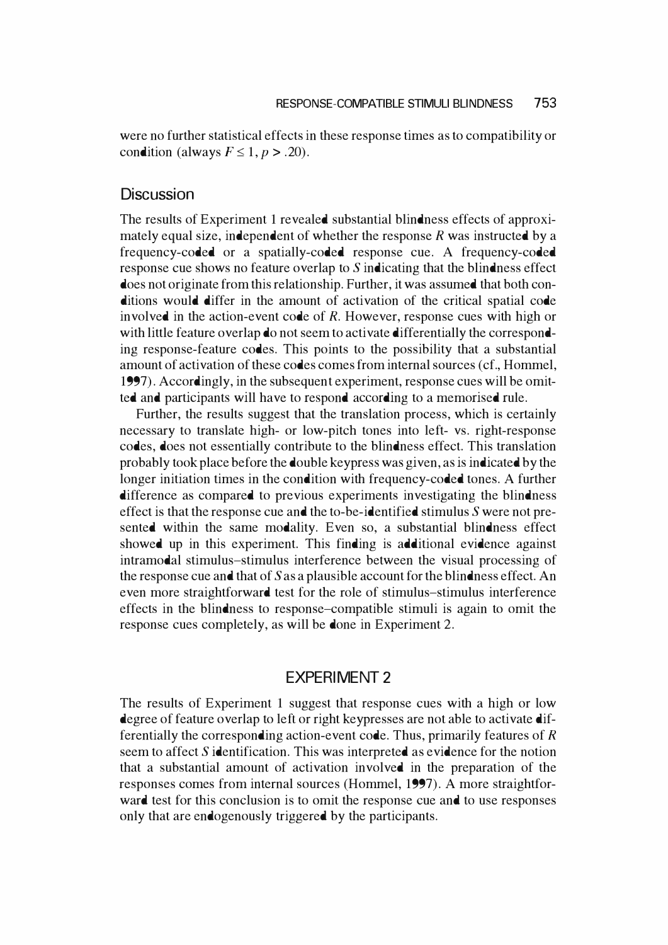were no further statistical effects in these response times as to compatibility or condition (always  $F \le 1, p > .20$ ).

## **Discussion**

The results of Experiment 1 revealed substantial blindness effects of approximately equal size, independent of whether the response  $R$  was instructed by a frequency-coded or a spatially-coded response cue. A frequency-coded response cue shows no feature overlap to S indicating that the blindness effect does not originate from this relationship. Further, it was assumed that both conditions would differ in the amount of activation of the critical spatial code involved in the action-event code of R. However, response cues with high or with little feature overlap **d**o not seem to activate **differentially** the corresponding response-feature codes. This points to the possibility that a substantial amount of activation of these codes comes from internal sources (cf., Hommel, 1997). Accordingly, in the subsequen t experiment, response cues will be omitted and participants will have to respond according to a memorised rule.

Further, the results suggest that the translation process, which is certainly necessary to translate high- or low-pitch tones into left- vs. right-response codes, does not essentially contribute to the blindness effect. This translation probably took place before the double keypress was given, as is indicated by the longer initiation times in the condition with frequency-coded tones. A further difference as compared to previous experiments investigating the blindness effect is that the response cue and the to-be-identified stimulus S were not presented within the same modality. Even so, a substantial blindness effect showed up in this experiment. This finding is additional evidence against intramodal stimulus-stimulus interference between the visual processing of the response cue and that of S as a plausible account for the blindness effect. An even more straightforward test for the role of stimulus-stimulus interference effects in the blindness to response-compatible stimuli is again to omit the response cues completely, as will be done in Experiment 2.

## EXPERIMENT 2

The results of Experiment 1 suggest that response cues with a high or low degree of feature overlap to left or right keypresses are not able to activate differentially the corresponding action-event code. Thus, primarily features of  $R$ seem to affect S identification. This was interpreted as evidence for the notion that a substantial amount of activation involved in the preparation of the responses comes from internal sources (Hommel, 1997). A more straightforward test for this conclusion is to omit the response cue and to use responses only that are endogenously triggered by the participants.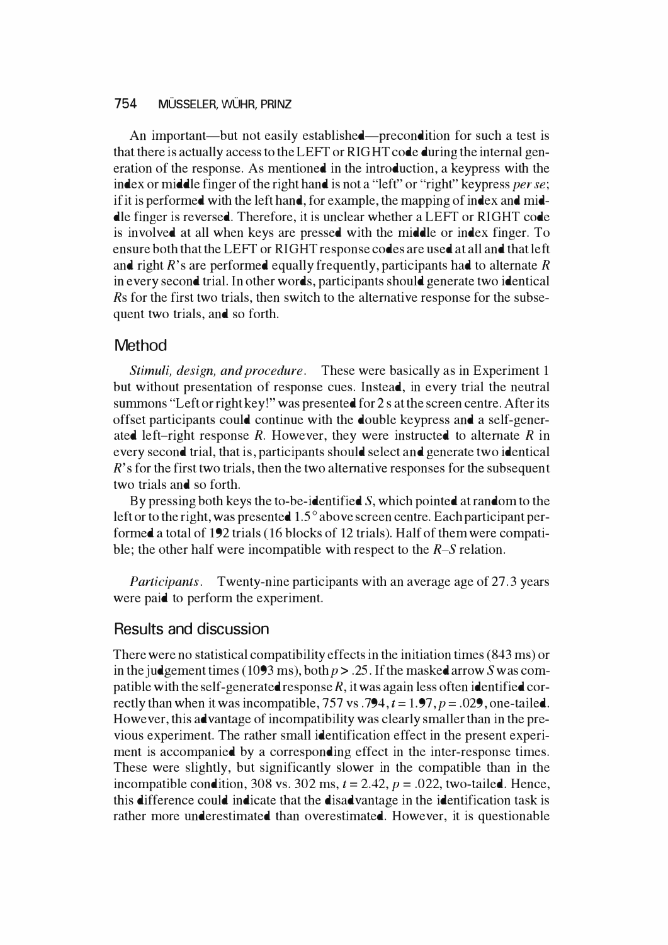#### .. .. 754 MUSSELER, WUHR, PRINZ

An important—but not easily established—precondition for such a test is that there is actually access to the LEFT or RIG HT code during the internal generation of the response. As mentioned in the introduction, a keypress with the index or middle finger of the right hand is not a "left" or "right" keypress *per se*; if it is performed with the left hand, for example, the mapping of index and middle finger is reversed. Therefore, it is unclear whether a LEFT or RI GHT code is involved at all when keys are pressed with the middle or index finger. To ensure both that the LEFT or RIGHT response codes are used at all and that left and right  $R$ 's are performed equally frequently, participants had to alternate  $R$ in every second trial. In other words, participants should generate two identical Rs for the first two trials, then switch to the alternative response for the subsequent two trials, and so forth.

## **Method**

Stimuli, design, and procedure. These were basically as in Experiment 1 but without presentation of response cues. Instead, in every trial the neutral summons "Left or right key!" was presented for 2 s at the screen centre. After its offset participants could continue with the double keypress and a self-generated left-right response  $R$ . However, they were instructed to alternate  $R$  in every second trial, that is, participants should select and generate two identical  $R$ 's for the first two trials, then the two alternative responses for the subsequent two trials and so forth.

By pressing both keys the to-be-identified S, which pointed at random to the left or to the right, was presented  $1.5^{\circ}$  above screen centre. Each participant performed a total of 192 trials (16 blocks of 12 trials). Half of them were compatible; the other half were incompatible with respect to the  $R-S$  relation.

Participants. Twenty-nine participants with an average age of 27.3 years were paid to perform the experiment.

## Results and discussion

There were no statistical compatibility effects in the initiation times (843 ms) or in the judgement times (1093 ms), both  $p > 0.25$ . If the masked arrow S was compatible with the self-generated response  $R$ , it was again less often identified correctly than when it was incompatible, 757 vs .794,  $t = 1.97$ ,  $p = .029$ , one-tailed. However, this advantage of incompatibility was clearly smaller than in the previous experiment. The rather small identification effect in the present experiment is accompanied by a corresponding effect in the inter-response times. These were slightly, but significantly slower in the compatible than in the incompatible condition, 308 vs. 302 ms,  $t = 2.42$ ,  $p = .022$ , two-tailed. Hence, this difference could indicate that the disadvantage in the identification task is rather more underestimated than overestimated. However, it is questionable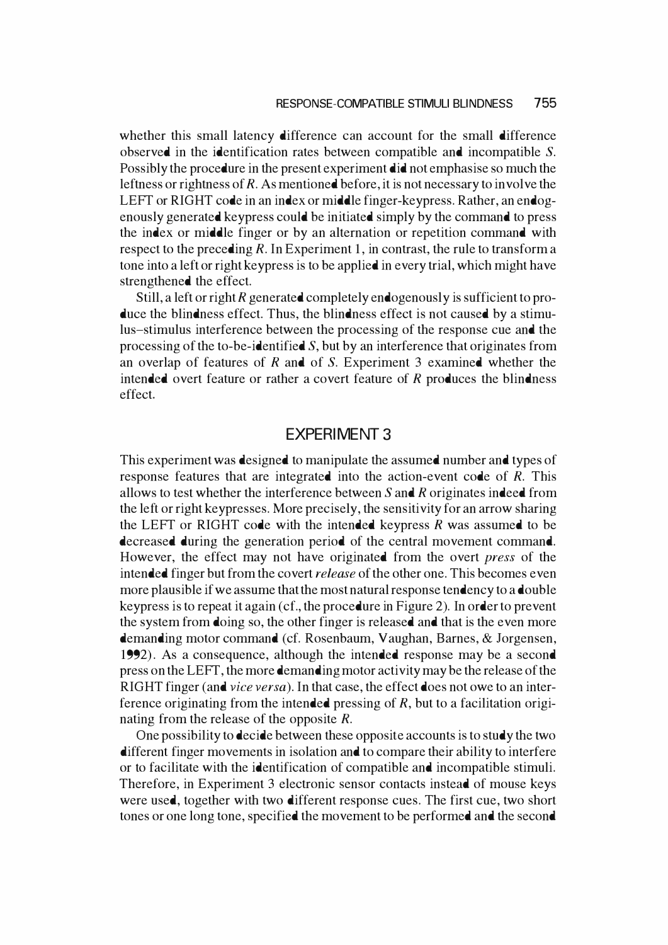whether this small latency difference can account for the small difference observed in the identification rates between compatible and incompatible S. Possibly the procedure in the present experiment did not emphasise so much the leftness or rightness of R. As mentioned before, it is not necessary to involve the LEFT or RIGHT code in an index or middle finger-keypress. Rather, an endogenously generated keypress could be initiated simply by the command to press the index or middle finger or by an alternation or repetition command with respect to the preceding  $R$ . In Experiment 1, in contrast, the rule to transform a tone into a left or right keypress is to be applied in every trial, which might have strengthened the effect.

Still, a left or right R generated completely endogenously is sufficient to produce the blindness effect. Thus, the blindness effect is not caused by a stimulus-stimulus interference between the processing of the response cue and the processing of the to-be-identified S, but by an interference that originates from an overlap of features of  $R$  and of  $S$ . Experiment 3 examined whether the intended overt feature or rather a covert feature of  $R$  produces the blindness effect.

# EXPERIMENT 3

This experiment was designed to manipulate the assumed number and types of response features that are integrated into the action-event code of R. This allows to test whether the interference between S and R originates indeed from the left or right keypresses. More precisely, the sensitivity for an arrow sharing the LEFT or RIGHT code with the intended keypress  $R$  was assumed to be decreased during the generation period of the central movement command. However, the effect may not have originated from the overt press of the intended finger but from the covert *release* of the other one. This becomes even more plausible if we assume that the most natural response tendency to a double keypress is to repeat it again (cf., the procedure in Figure 2). In order to prevent the system from doing so, the other finger is released and that is the even more demanding motor command (cf. Rosenbaum, Vaughan, Barnes, & Jorgensen, 1992). As a consequence, although the intended response may be a second press on the LEFT, the more demanding motor activity may be the release of the RIGHT finger (and *vice versa*). In that case, the effect does not owe to an interference originating from the intended pressing of  $R$ , but to a facilitation originating from the release of the opposite R.

One possibility to decide between these opposite accounts is to study the two different finger movements in isolation and to compare their ability to interfere or to facilitate with the identification of compatible and incompatible stimuli. Therefore, in Experiment 3 electronic sensor contacts instead of mouse keys were used, together with two different response cues. The first cue, two short tones or one long tone, specified the movement to be performed and the second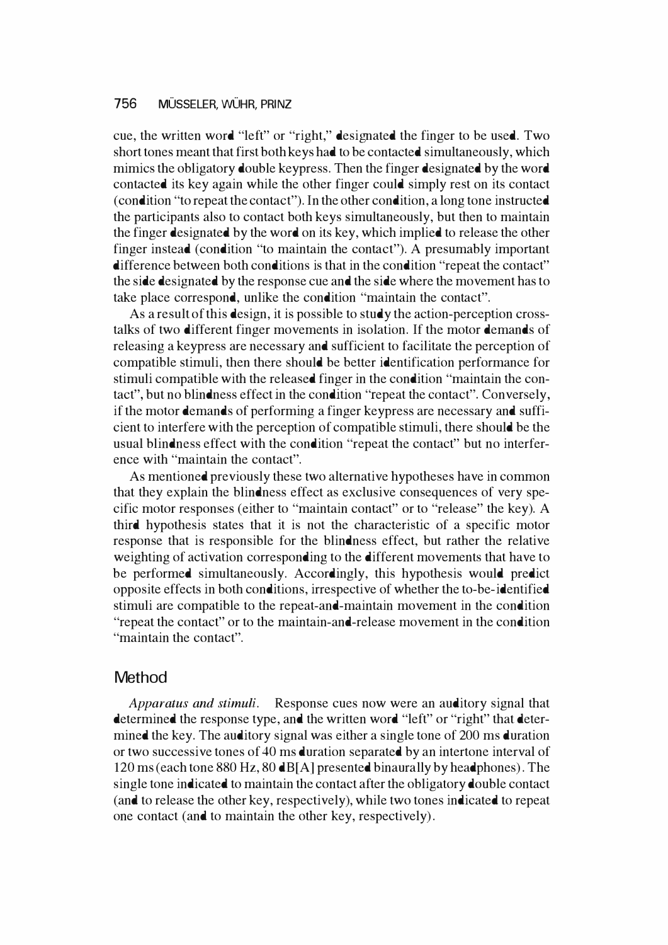cue, the written word "left" or "right," designated the finger to be used. Two short tones meant that first both keys had to be contacted simultaneously, which mimics the obligatory double keypress. Then the finger designated by the word contacted its key again while the other finger could simply rest on its contact (condition "to repeat the contact"). In the other condition, a long tone instructed the participants also to contact both keys simultaneously, but then to maintain the finger designated by the word on its key, which implied to release the other finger instead (condition "to maintain the contact"). A presumably important difference between both conditions is that in the condition "repeat the contact" the side designated by the response cue and the side where the movement has to take place correspond, unlike the condition "maintain the contact".

As a result of this design, it is possible to study the action-perception crosstalks of two different finger movements in isolation. If the motor demands of releasing a keypress are necessary and sufficient to facilitate the perception of compatible stimuli, then there should be better identification performance for stimuli compatible with the released finger in the condition "maintain the contact", but no blindness effect in the condition "repeat the contact". Conversely, if the motor demands of performing a finger keypress are necessary and sufficient to interfere with the perception of compatible stimuli, there should be the usual blindness effect with the condition "repeat the contact" but no interference with "maintain the contact".

As mentioned previously these two alternative hypotheses have in common that they explain the blindness effect as exclusive consequences of very specific motor responses (either to "maintain contact" or to "release" the key). A third hypothesis states that it is not the characteristic of a specific motor response that is responsible for the blindness effect, but rather the relative weighting of activation corresponding to the different movements that have to be performed simultaneously. Accordingly, this hypothesis would predict opposite effects in both conditions, irrespective of whether the to-be-identified stimuli are compatible to the repeat-and-maintain movement in the condition "repeat the contact" or to the maintain-and-release movement in the condition "maintain the contact".

#### **Method**

Apparatus and stimuli. Response cues now were an auditory signal that determined the response type, and the written word "left" or "right" that determined the key. The auditory signal was either a single tone of 200 ms duration or two successive tones of 40 ms duration separated by an intertone interval of 120 ms (each tone 880 Hz, 80 dB[A] presented binaurally by headphones). The single tone indicated to maintain the contact after the obligatory double contact (and to release the other key, respectively), while two tones indicated to repeat one contact (and to maintain the other key, respectively).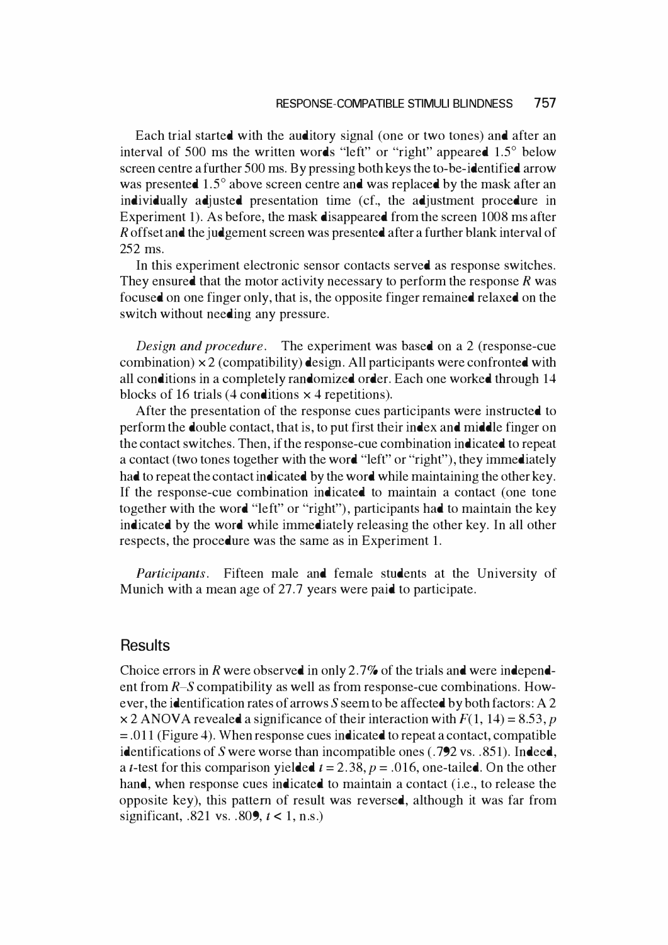Each trial started with the auditory signal (one or two tones) and after an interval of 500 ms the written words "left" or "right" appeared 1.5° below screen centre a further 500 ms. By pressing both keys the to-be-identified arrow was presented 1.5° above screen centre and was replaced by the mask after an individually adjusted presentation time (cf., the adjustment procedure in Experiment 1). As before, the mask disappeared from the screen 1008 ms after R offset and the judgement screen was presented after a further blank interval of 252 ms.

In this experiment electronic sensor contacts served as response switches. They ensured that the motor activity necessary to perform the response  *was* focused on one finger only, that is, the opposite finger remained relaxed on the switch without needing any pressure.

Design and procedure. The experiment was based on a 2 (response-cue combination)  $\times$  2 (compatibility) design. All participants were confronted with all conditions in a completely randomized order. Each one worked through 14 blocks of 16 trials (4 conditions  $\times$  4 repetitions).

After the presentation of the response cues participants were instructed to perform the double contact, that is, to put first their index and middle finger on the contact switches. Then, if the response-cue combination indicated to repeat a contact (two tones together with the word "left" or "right"), they immediately had to repeat the contact indicated by the word while maintaining the other key. If the response-cue combination indicated to maintain a contact (one tone together with the word "left" or "right"), participants had to maintain the key indicated by the word while immediately releasing the other key. In all other respects, the procedure was the same as in Experiment 1.

Participants. Fifteen male and female students at the University of Munich with a mean age of 27.7 years were paid to participate.

# **Results**

Choice errors in R were observed in only 2.7% of the trials and were independent from R-S compatibility as well as from response-cue combinations. However, the identification rates of arrows S seem to be affected by both factors: A 2  $\times$  2 ANOVA revealed a significance of their interaction with  $F(1, 14) = 8.53$ , p <sup>=</sup>.01 1 (Figure 4). When response cues indicated to repeat a contact, compatible identifications of S were worse than incompatible ones (.792 vs. .851). Indeed, a *t*-test for this comparison yielded  $t = 2.38$ ,  $p = .016$ , one-tailed. On the other hand, when response cues indicated to maintain a contact (i.e., to release the opposite key), this pattern of result was reversed, although it was far from significant, .821 vs. .809,  $t < 1$ , n.s.)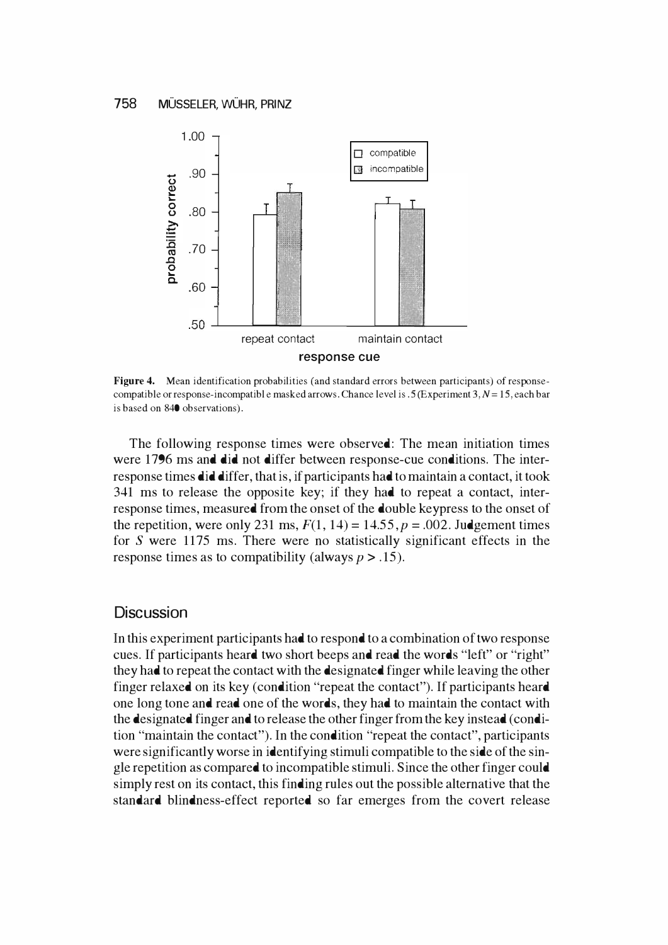

Figure 4. Mean identification probabilities (and standard errors between participants) of responsecompatible or response-incompatible masked arrows. Chance level is .5 (Experiment 3,  $N = 15$ , each bar is based on 840 observations).

The following response times were observed: The mean initiation times were 1796 ms and did not differ between response-cue conditions. The interresponse times did differ, that is, if participants had to maintain a contact, it took 341 ms to release the opposite key; if they had to repeat a contact, interresponse times, measured from the onset of the double keypress to the onset of the repetition, were only 231 ms,  $F(1, 14) = 14.55$ ,  $p = .002$ . Judgement times for S were 1175 ms. There were no statistically significant effects in the response times as to compatibility (always  $p > .15$ ).

# **Discussion**

In this experiment participants had to respond to a combination of two response cues. If participants heard two short beeps and read the words "left" or "right" they had to repeat the contact with the designated finger while leaving the other finger relaxed on its key (condition "repeat the contact"). If participants heard one long tone and read one of the words, they had to maintain the contact with the designated finger and to release the other finger from the key instead (condition "maintain the contact"). In the condition "repeat the contact", participants were significantly worse in identifying stimuli compatible to the side of the single repetition as compared to incompatible stimuli. Since the other finger could simply rest on its contact, this finding rules out the possible alternative that the standard blindness-effect reported so far emerges from the covert release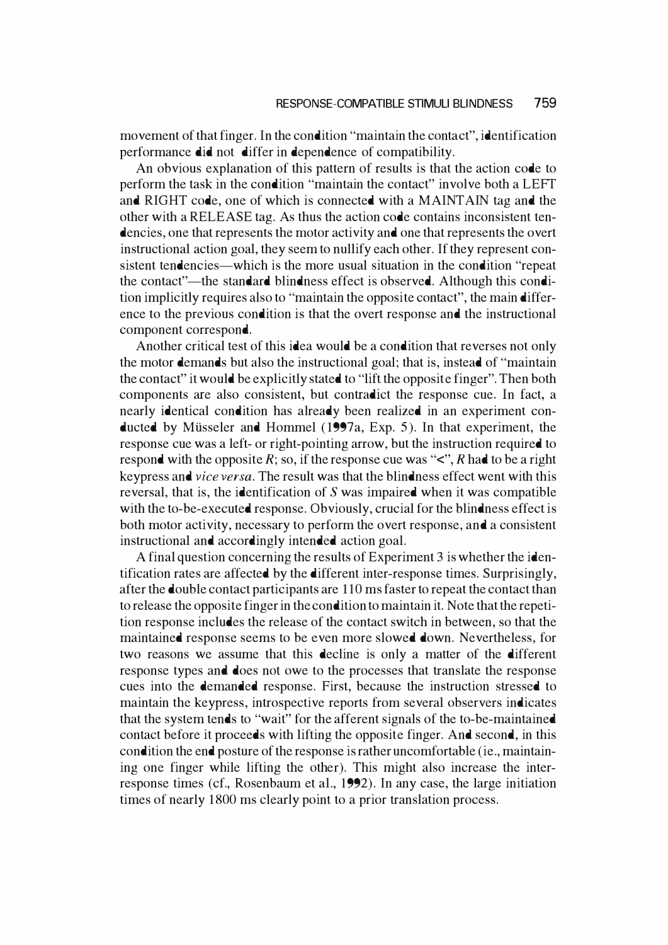movement of that finger. In the condition "maintain the contact", identification performance did not differ in dependence of compatibility.

An obvious explanation of this pattern of results is that the action code to perform the task in the condition "maintain the contact" involve both a LEFT and RIGHT code, one of which is connected with a MAINTAIN tag and the other with a RELEASE tag. As thus the action code contains inconsistent tendencies, one that represents the motor activity and one that represents the overt instructional action goal, they seem to nullify each other. If they represent consistent tendencies—which is the more usual situation in the condition "repeat" the contact"—the standard blindness effect is observed. Although this condition implicitly requires also to "maintain the opposite contact", the main difference to the previous condition is that the overt response and the instructional component correspond.

Another critical test of this idea would be a condition that reverses not only the motor demands but also the instructional goal; that is, instead of "maintain the contact" it would be explicitly stated to "lift the opposite finger". Then both components are also consistent, but contradict the response cue. In fact, a nearly identical condition has already been realized in an experiment conducted by Miisseler and Hommel (1997a, Exp. 5). In that experiment, the response cue was a left- or right-pointing arrow, but the instruction required to respond with the opposite R; so, if the response cue was " $\lt$ ", R had to be a right keypress and vice versa. The result was that the blindness effect went with this reversal, that is, the identification of S was impaired when it was compatible with the to-be-executed response. Obviously, crucial for the blindness effect is both motor activity, necessary to perform the overt response, and a consistent instructional and accordingly intended action goal.

A final question concerning the results of Experiment 3 is whether the identification rates are affected by the different inter-response times. Surprisingly, after the double contact participants are 110 ms faster to repeat the contact than to release the opposite finger in the condition to maintain it. Note that the repetition response includes the release of the contact switch in between, so that the maintained response seems to be even more slowed down. Nevertheless, for two reasons we assume that this decline is only a matter of the different response types and does not owe to the processes that translate the response cues into the demanded response. First, because the instruction stressed to maintain the keypress, introspective reports from several observers indicates that the system tends to "wait" for the afferent signals of the to-be-maintained contact before it proceeds with lifting the opposite finger. And second, in this condition the end posture of the response is rather uncomfortable (ie., maintaining one finger while lifting the other). This might also increase the interresponse times (cf., Rosenbaum et aI., 1992). In any case, the large initiation times of nearly 1800 ms clearly point to a prior translation process.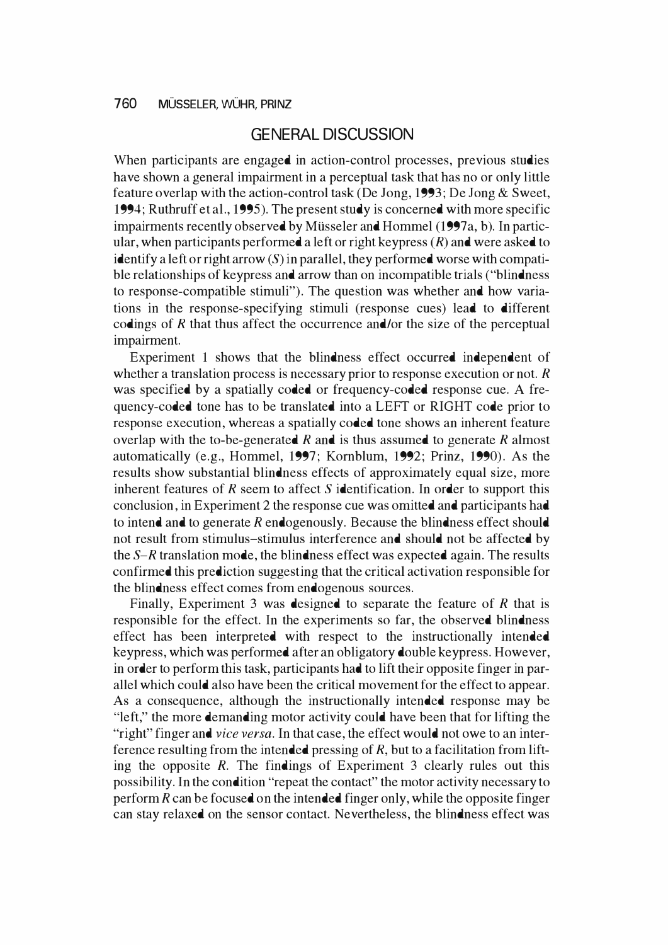# **GENERAL DISCUSSION**

When participants are engaged in action-control processes, previous studies have shown a general impairment in a perceptual task that has no or only little feature overlap with the action-control task (De Jong, 1993; De Jong & Sweet, 1994; Ruthruff et al., 1995). The present study is concerned with more specific impairments recently observed by Miisseler and Hommel (1997a, b). In particular, when participants performed a left or right keypress  $(R)$  and were asked to identify a left or right arrow  $(S)$  in parallel, they performed worse with compatible relationships of keypress and arrow than on incompatible trials ("blindness to response-compatible stimuli"). The question was whether and how variations in the response-specifying stimuli (response cues) lead to different codings of R that thus affect the occurrence and/or the size of the perceptual impairment.

Experiment 1 shows that the blindness effect occurred independent of whether a translation process is necessary prior to response execution or not.  $R$ was specified by a spatially coded or frequency-coded response cue. A frequency-coded tone has to be translated into a LEFT or RIGHT code prior to response execution, whereas a spatially coded tone shows an inherent feature overlap with the to-be-generated R and is thus assumed to generate R almost automatically (e.g., Hommel, 1997; Kornblum, 1992; Prinz, 1990). As the results show substantial blindness effects of approximately equal size, more inherent features of  $R$  seem to affect  $S$  identification. In order to support this conclusion, in Experiment 2 the response cue was omitted and participants had to intend and to generate  $R$  endogenously. Because the blindness effect should not result from stimulus-stimulus interference and should not be affected by the  $S-R$  translation mode, the blindness effect was expected again. The results confirmed this prediction suggesting that the critical activation responsible for the blindness effect comes from endogenous sources.

Finally, Experiment 3 was designed to separate the feature of  $R$  that is responsible for the effect. In the experiments so far, the observed blindness effect has been interpreted with respect to the instructionally intended keypress, which was performed after an obligatory double keypress. However, in order to perform this task, participants had to lift their opposite finger in parallel which could also have been the critical movement for the effect to appear. As a consequence, although the instructionally intended response may be "left," the more demanding motor activity could have been that for lifting the "right" finger and vice versa. In that case, the effect would not owe to an interference resulting from the intended pressing of  $R$ , but to a facilitation from lifting the opposite  $R$ . The findings of Experiment 3 clearly rules out this possibility. In the condition "repeat the contact" the motor activity necessary to perform  $R$  can be focused on the intended finger only, while the opposite finger can stay relaxed on the sensor contact. Nevertheless, the blindness effect was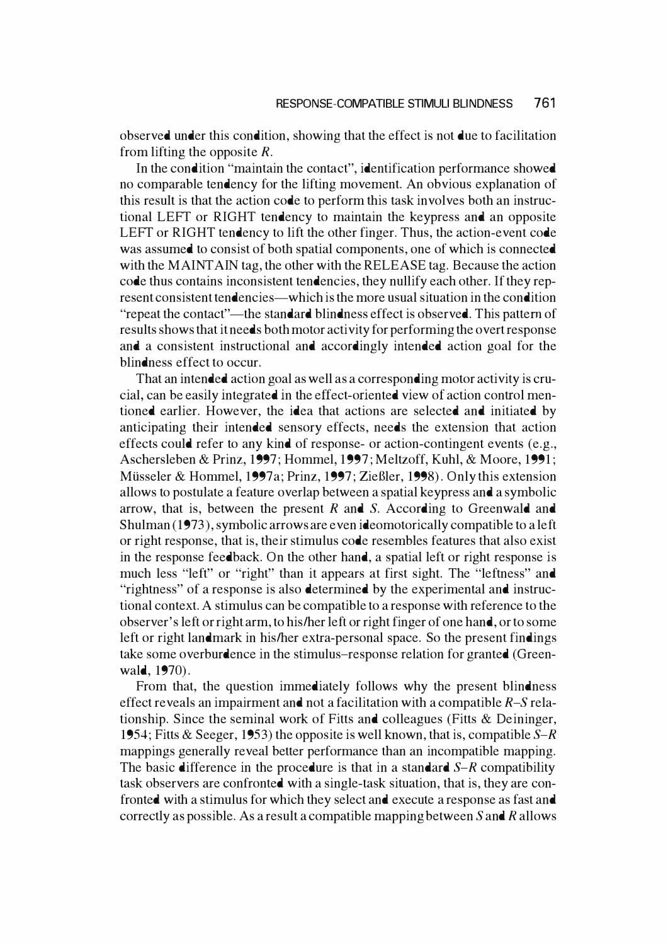observed under this condition, showing that the effect is not due to facilitation from lifting the opposite *.* 

In the condition "maintain the contact", identification performance showed no comparable tendency for the lifting movement. An obvious explanation of this result is that the action code to perform this task involves both an instructional LEFT or RIGHT tendency to maintain the keypress and an opposite LEFT or RIGHT tendency to lift the other finger. Thus, the action-event code was assumed to consist of both spatial components, one of which is connected with the MAINTAIN tag, the other with the RELEASE tag. Because the action code thus contains inconsistent tendencies, they nullify each other. If they represent consistent tendencies—which is the more usual situation in the condition "repeat the contact"—the standard blindness effect is observed. This pattern of results shows that it needs both motor activity for performing the overt response and a consistent instructional and accordingly intended action goal for the blindness effect to occur.

That an intended action goal as well as a corresponding motor activity is crucial, can be easily integrated in the effect-oriented view of action control mentioned earlier. However, the idea that actions are selected and initiated by anticipating their intended sensory effects, needs the extension that action effects could refer to any kind of response- or action-contingent events (e.g., Aschersleben & Prinz, 1997; Hommel, 1997; Meltzoff, Kuhl, & Moore, 1991; Miisseler & Hommel, 1997a; Prinz, 1997; ZieBler, 1998). Only this extension allows to postulate a feature overlap between a spatial keypress and a symbolic arrow, that is, between the present  $R$  and  $S$ . According to Greenwald and Shulman (1973), symbolic arrows are even ideomotorically compatible to a left or right response, that is, their stimulus code resembles features that also exist in the response feedback. On the other hand, a spatial left or right response is much less "left" or "right" than it appears at first sight. The "leftness" and "rightness" of a response is also determined by the experimental and instructional context. A stimulus can be compatible to a response with reference to the observer's left or right arm, to his/her left or right finger of one hand, or to some left or right landmark in his/her extra-personal space. So the present findings take some overburdence in the stimulus-response relation for granted (Greenwald, 1970).

From that, the question immediately follows why the present blindness effect reveals an impairment and not a facilitation with a compatible  $R-S$  relationship. Since the seminal work of Fitts and colleagues (Fitts & Deininger, 1954; Fitts & Seeger, 1953) the opposite is well known, that is, compatible  $S-R$ mappings generally reveal better performance than an incompatible mapping. The basic difference in the procedure is that in a standard  $S-R$  compatibility task observers are confronted with a single-task situation, that is, they are confronted with a stimulus for which they select and execute a response as fast and correctly as possible. As a result a compatible mapping between  $S$  and  $R$  allows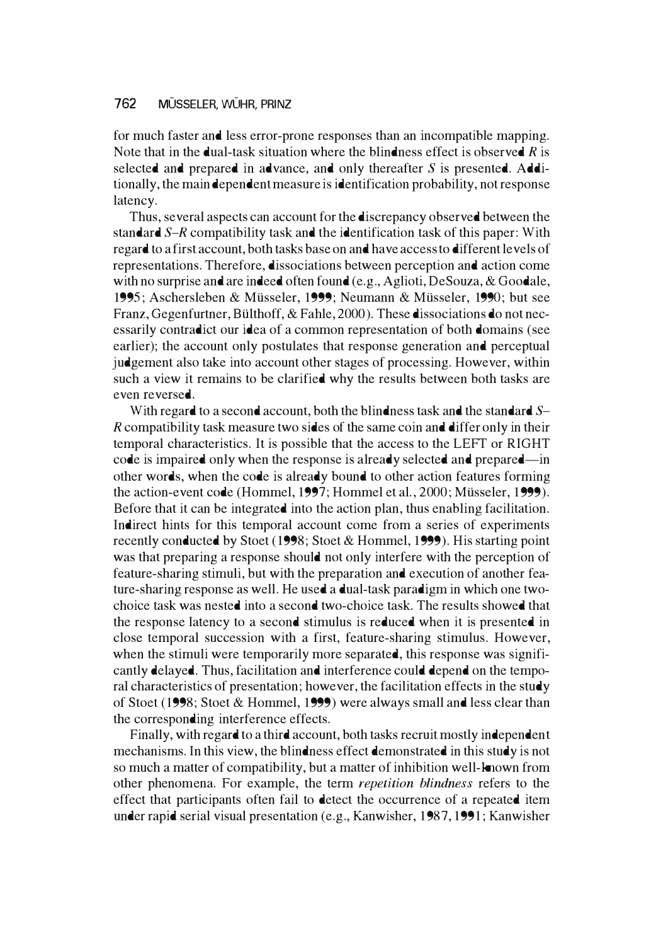for much faster and less error-prone responses than an incompatible mapping. Note that in the dual-task situation where the blindness effect is observed  $R$  is selected and prepared in advance, and only thereafter S is presented. Additionally, the main dependent measure is identification probability, not response latency.

Thus, several aspects can account for the discrepancy observed between the standard S-R compatibility task and the identification task of this paper: With regard to a first account, both tasks base on and have access to different levels of representations. Therefore, dissociations between perception and action come with no surprise and are indeed often found (e.g., Aglioti, DeSouza, & Goodale, 1995; Aschersleben & Miisseler, 1999; Neumann & Miisseler, 1990; but see Franz, Gegenfurtner, Biilthoff, & Fable, 2000). These dissociations do not necessarily contradict our idea of a common representation of both domains (see earlier); the account only postulates that response generation and perceptual judgement also take into account other stages of processing. However, within such a view it remains to be clarified why the results between both tasks are even reversed.

With regard to a second account, both the blindness task and the standard S-R compatibility task measure two sides of the same coin and differ only in their temporal characteristics. It is possible that the access to the LEFT or RIGHT code is impaired only when the response is already selected and prepared—in other words, when the code is already bound to other action features forming the action-event code (Hommel, 1997; Hommel et al., 2000; Müsseler, 1999). Before that it can be integrated into the action plan, thus enabling facilitation. Indirect hints for this temporal account come from a series of experiments recently conducted by Stoet (1998; Stoet & Hommel, 1999). His starting point was that preparing a response should not only interfere with the perception of feature-sharing stimuli, but with the preparation and execution of another feature-sharing response as well. He used a dual-task paradigm in which one twochoice task was nested into a second two-choice task. The results showed that the response latency to a second stimulus is reduced when it is presented in close temporal succession with a first, feature-sharing stimulus. However, when the stimuli were temporarily more separated, this response was significantly delayed. Thus, facilitation and interference could depend on the temporal characteristics of presentation; however, the facilitation effects in the study of Stoet (1998; Stoet & Hommel, 1999) were always small and less clear than the corresponding interference effects.

Finally, with regard to a third account, both tasks recruit mostly independent mechanisms. In this view, the blindness effect demonstrated in this study is not so much a matter of compatibility, but a matter of inhibition well-known from other phenomena. For example, the term repetition blindness refers to the effect that participants often fail to detect the occurrence of a repeated item under rapid serial visual presentation (e.g., Kanwisher, 1987, 1991; Kanwisher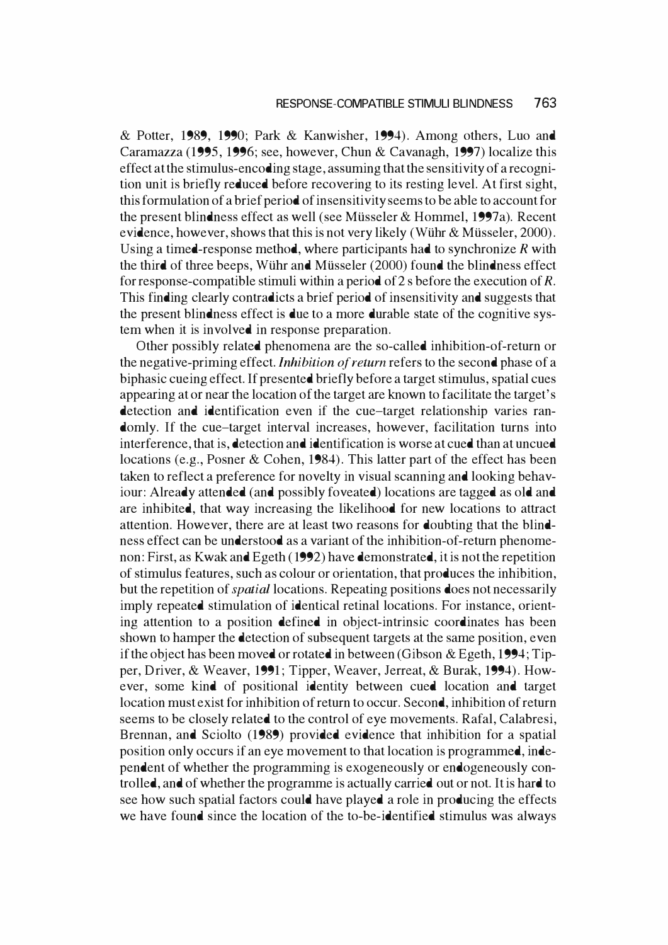& Potter, 1989, 1990; Park & Kanwisher, 1994). Among others, Luo and Caramazza (1995, 1996; see, however, Chun & Cavanagh, 1997) localize this effect at the stimulus-encoding stage, assuming that the sensitivity of a recognition unit is briefly reduced before recovering to its resting level. At first sight, this formulation of a brief period of insensitivity seems to be able to account for the present blindness effect as well (see Miisseler & Hommel, 1997a). Recent evidence, however, shows that this is not very likely (Wühr  $\&$  Müsseler, 2000). Using a timed-response method, where participants had to synchronize  $R$  with the third of three beeps, Wiihr and Miisseler (2000) found the blindness effect for response-compatible stimuli within a period of 2 s before the execution of  $R$ . This finding clearly contradicts a brief period of insensitivity and suggests that the present blindness effect is due to a more durable state of the cognitive system when it is involved in response preparation.

Other possibly related phenomena are the so-called inhibition-of-return or the negative-priming effect. *Inhibition of return* refers to the second phase of a biphasic cueing effect. If presented briefly before a target stimulus, spatial cues appearing at or near the location of the target are known to facilitate the target's detection and identification even if the cue-target relationship varies randomly. If the cue-target interval increases, however, facilitation turns into interference, that is, detection and identification is worse at cued than at uncued locations (e.g., Posner & Cohen, 1984). This latter part of the effect has been taken to reflect a preference for novelty in visual scanning and looking behaviour: Already attended (and possibly foveated) locations are tagged as old and are inhibited, that way increasing the likelihood for new locations to attract attention. However, there are at least two reasons for doubting that the blindness effect can be understood as a variant of the inhibition-of-return phenomenon: First, as Kwak and Egeth (1992) have demonstrated, itis not the repetition of stimulus features, such as colour or orientation, that produces the inhibition, but the repetition of *spatial* locations. Repeating positions **does** not necessarily imply repeated stimulation of identical retinal locations. For instance, orienting attention to a position defined in object-intrinsic coordinates has been shown to hamper the detection of subsequent targets at the same position, even if the object has been moved or rotated in between (Gibson & Egeth, 1994; Tipper, Driver, & Weaver, 1991; Tipper, Weaver, Jerreat, & Burak, 1994). However, some kind of positional identity between cued location and target location must exist for inhibition of return to occur. Second, inhibition of return seems to be closely related to the control of eye movements. Rafal, Calabresi, Brennan, and Sciolto (1989) provided evidence that inhibition for a spatial position only occurs if an eye movement to that location is programmed, independent of whether the programming is exogeneously or endogeneously controlled, and of whether the programme is actually carried out or not. It is hard to see how such spatial factors could have played a role in producing the effects we have found since the location of the to-be-identified stimulus was always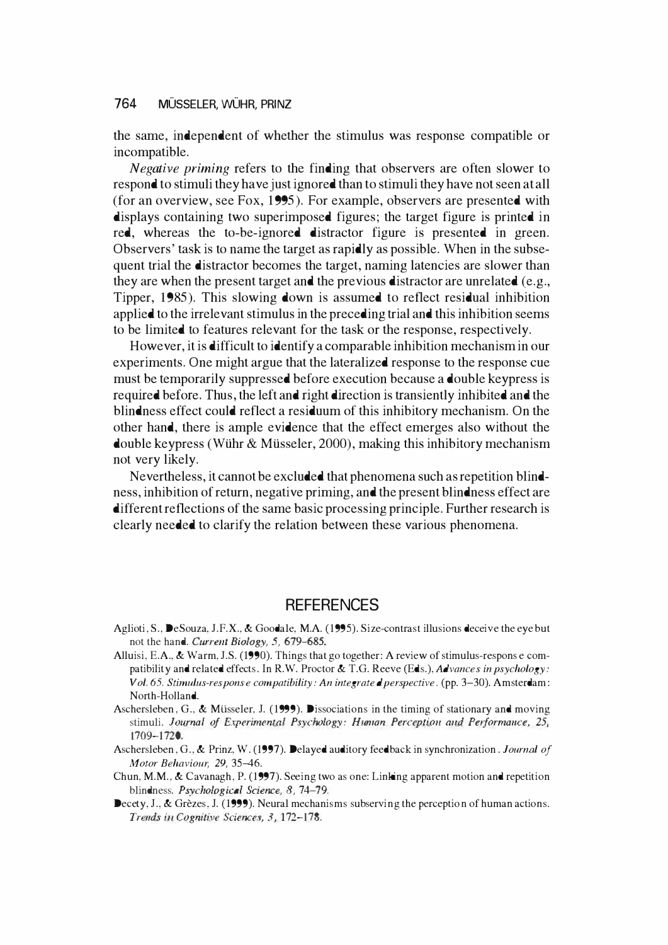the same, independent of whether the stimulus was response compatible or incompatible.

Negative priming refers to the finding that observers are often slower to respond to stimuli they have just ignored than to stimuli they have not seen at all (for an overview, see Fox,  $1995$ ). For example, observers are presented with displays containing two superimposed figures; the target figure is printed in red, whereas the to-be-ignored distractor figure is presented in green. Observers' task is to name the target as rapidly as possible. When in the subsequent trial the distractor becomes the target, naming latencies are slower than they are when the present target and the previous distractor are unrelated (e.g., Tipper, 1985). This slowing down is assumed to reflect residual inhibition applied to the irrelevant stimulus in the preceding trial and this inhibition seems to be limited to features relevant for the task or the response, respectively.

However, it is difficult to identify a comparable inhibition mechanism in our experiments. One might argue that the lateralized response to the response cue must be temporarily suppressed before execution because a double keypress is required before. Thus, the left and right direction is transiently inhibited and the blindness effect could reflect a residuum of this inhibitory mechanism. On the other hand, there is ample evidence that the effect emerges also without the double keypress (Wühr  $\&$  Müsseler, 2000), making this inhibitory mechanism not very likely.

Nevertheless, it cannot be excluded that phenomena such as repetition blindness, inhibition of return, negative priming, and the present blindness effect are different reflections of the same basic processing principle. Further research is clearly needed to clarify the relation between these various phenomena.

## **REFERENCES**

- Aglioti , S., DeSouza, J.F.X., & Goodale, M.A. (1995). Size-contrast illusions deceive the eye but not the hand. Current Biology, 5, 679-685.
- Alluisi, E.A., & Warm, J.S. (1990). Things that go together: A review of stimulus-respons e compatibility and related effects. In R.W. Proctor & T.G. Reeve (Eds.), Advances in psychology: Vol. 65. Stimulus-respons e compatibility : An integrate d perspective . (pp. 3-30). Amsterdam : North-Holland.
- Aschersleben , G., & Mlisseler, J. (1999). Dissociations in the timing of stationary and moving stimuli. Journal of Experimental Psychology: Human Perception and Performance, 25, 1709-1720.
- Aschersleben , G., & Prinz, W. (1997). Delayed auditory feedback in synchronization . Journal of Motor Behaviour, 29, 35-46.
- Chun, M.M. , & Cavanagh, P. (1997). Seeing two as one: Linking apparent motion and repetition blindness. Psychological Science, 8, 74-79.
- **Decety, J., & Grèzes, J. (1999). Neural mechanisms subserving the perception of human actions.** Trends in Cognitive Sciences, 3, 172-178.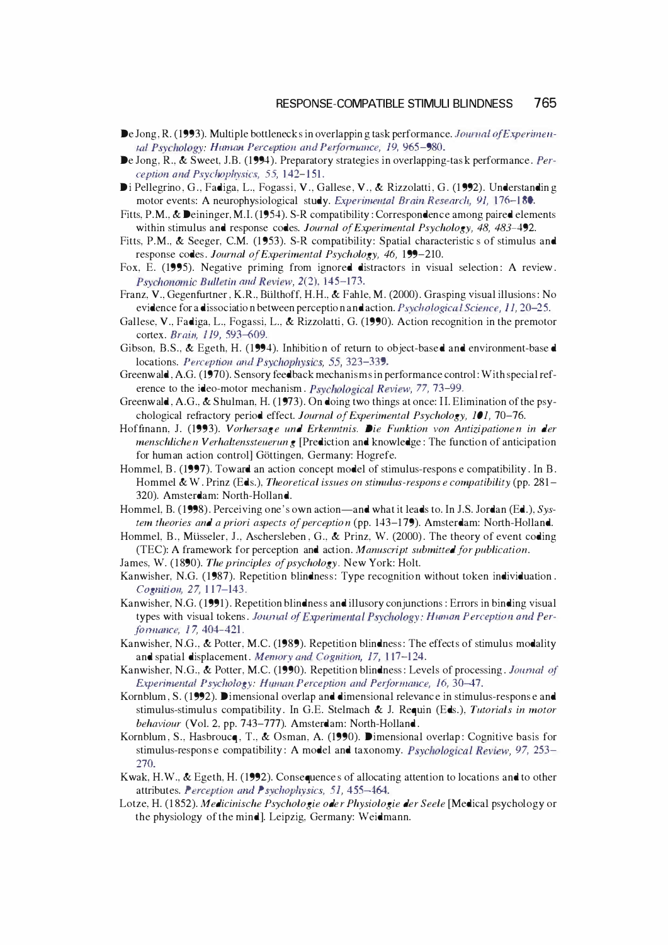- **De Jong, R. (1993). Multiple bottlenecks in overlapping task performance.** Journal of Experimental Psychology: Human Perception and Performance, 19, 965-980.
- De Jong, R., & Sweet, lB. (1994). Preparatory strategies in overlapping-tas k performance . Perception and Psychophysics, 55, 142-151.
- Di Pellegrino, G., Fadiga, L., Fogassi, V., Gallese, V., & Rizzolatti, G. (1992). Understandin g motor events: A neurophysiological study. Experimental Brain Research, 91, 176-180.
- Fitts, P.M., & Deininger, M.I. (1954). S-R compatibility: Correspondence among paired elements within stimulus and response codes. Journal of Experimental Psychology, 48, 483-492.
- Fitts, P.M., & Seeger, C.M. (1953). S-R compatibility: Spatial characteristic s of stimulus and response codes. Journal of Experimental Psychology, 46, 199–210.
- Fox, E. (1995). Negative priming from ignored distractors in visual selection : A review . Psychonomic Bulletin and Review, 2(2), 145-173.
- Franz, V., Gegenfurtner , K.R., Billthoff, H.H., & Fable, M. (2000). Grasping visual illusions : No evidence for a dissociation between perception and action. *Psychological Science*, 11, 20–25.
- Gallese, V., Fadiga, L., Fogassi, L., & Rizzolatti, G. (1990). Action recognition in the premotor cortex. Brain, 119, 593-609.
- Gibson, B.S., & Egeth, H. (1994). Inhibition of return to object-based and environment-based locations. Perception and P sychophysics, 55, 323-339.
- Greenwald , A.G. (1970). Sensory feedback mechanisms in performance control: With special reference to the ideo-motor mechanism. Psychological Review, 77, 73-99.
- Greenwald , A.G., & Shulman, H. (1973). On doing two things at once: II. Elimination of the psychological refractory period effect. Journal of Experimental Psychology, 101, 70-76.
- Hoffinann, J. (1993). Vorhersage und Erkenntnis. Die Funktion von Antizipationen in der menschliche n Verhaltenssteuerun  $g$  [Prediction and knowledge: The function of anticipation for human action control] Göttingen, Germany: Hogrefe.
- Hommel, B. (1997). Toward an action concept model of stimulus-respons e compatibility . In B. Hommel & W. Prinz (Eds.), Theoretical issues on stimulus-respons e compatibility (pp. 281– 320). Amsterdam: North-Holland.
- Hommel, B. (1998). Perceiving one's own action—and what it leads to. In J.S. Jordan (Ed.), System theories and a priori aspects of perception (pp.  $143-179$ ). Amsterdam: North-Holland.
- Hommel, B., Müsseler, J., Aschersleben, G., & Prinz, W. (2000). The theory of event coding (TEC): A framework for perception and action. Manuscript submitted for publication.
- James, W. (1890). The principles of psychology. New York: Holt.
- Kanwisher, N.G. (1987). Repetition blindness: Type recognition without token individuation. Cognition, 27, 117-143.
- Kanwisher, N.G. (1991 ). Repetition blindnes s and illusory conjunctions : Errors in binding visual types with visual tokens. Journal of Experimental Psychology: Human Perception and Performance, 17, 404-421.
- Kanwisher, N.G., & Potter, M.C. (1989). Repetition blindness: The effects of stimulus modality and spatial displacement. Memory and Cognition, 17, 117-124.
- Kanwisher, N.G., & Potter, M.C. (1990). Repetition blindness: Levels of processing. Journal of Experimental Psychology: Human Perception and Performance, 16, 30-47.
- Kornblum , S. (1992). Dimensional overlap and dimensional relevance in stimulus-respons e and stimulus-stimulus compatibility. In G.E. Stelmach & J. Requin (Eds.), Tutorials in motor behaviour (Vol. 2, pp. 743-777). Amsterdam: North-Holland.
- Kornblum , S., Hasbroucq, T., & Osman, A. (1990). Dimensional overlap : Cognitive basis for stimulus-response compatibility: A model and taxonomy. Psychological Review, 97, 253-270.
- Kwak, H.W., & Egeth, H. (1992). Consequence s of allocating attention to locations and to other attributes. Perception and Psychophysics, 51, 455-464.
- Lotze, H. (1852). Medicinische Psychologie oder Physiologie der Seele [Medical psychology or the physiology of the mind]. Leipzig, Germany: Weidmann.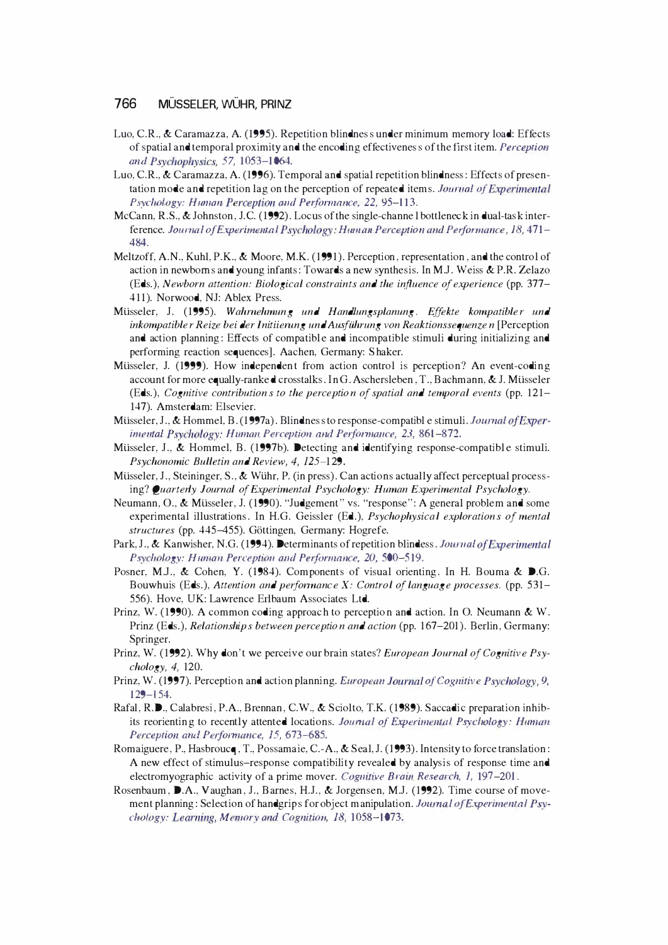#### .. .. 766 MUSSELER, WUHR, PRINZ

- Luo, C.R., & Caramazza, A. (1995). Repetition blindnes s under minimum memory load: Effects of spatial and temporal proximity and the encoding effectivenes s of the first item. Perception and Psychophysics, 57, 1053-1064.
- Luo, C.R., & Caramazza, A. (1996). Temporal and spatial repetition blindness: Effects of presentation mode and repetition lag on the perception of repeated items. Journal of Experimental Psychology: Human Perception and Performance, 22, 95-113.
- McCann, R.S., & Johnston, J.C. (1992). Locus of the single-channel bottleneck in dual-task interference. Journal of Experimental Psychology: Human Perception and Performance, 18, 471– 484.
- Meltzoff, A.N., Kuhl, P.K., & Moore, M.K. (1991). Perception , representation , and the control of action in newborns and young infants : Towards a new synthesis. In MJ. Weiss & P.R. Zelazo (Eds.), Newborn attention: Biological constraints and the influence of experience (pp. 377- 411). Norwood, NJ: Ablex Press.
- Müsseler, J. (1995). Wahrnehmung und Handlungsplanung. Effekte kompatibler und inkompatible r Reize bei der Initiierung und Ausführung von Reaktionssequenze n [Perception and action planning : Effects of compatible and incompatible stimuli during initializing and performing reaction sequences]. Aachen, Germany: S haker.
- Mlisseler, J. (1999). How independent from action control is perception? An event-coding account for more equally-ranked crosstalks . In G. Aschersleben , T., B achmann, & J. Mlisseler (Eds.), Cognitive contributions to the perceptio n of spatial and temporal events (pp. 121- 147). Amsterdam: Elsevier.
- Mitsseler, J., & Hommel, B. (1997a). Blindnes s to response-compatible stimuli. Journal of Experimental Psychology: Human Perception and Performance, 23, 861-872.
- Müsseler, J., & Hommel, B. (1997b). Detecting and identifying response-compatible stimuli. Psychonomic Bulletin and Review, 4, 125-129.
- Mlisseler, J., Steininger, S., & Wlihr, P. (in press). Can actions actually affect perceptual processing? Quarterly Journal of Experimental Psychology: Human Experimental Psychology.
- Neumann, O., & Müsseler, J. (1990). "Judgement" vs. "response": A general problem and some experimental illustrations. In H.G. Geissler (Ed.), *Psychophysical explorations of mental* structures (pp. 445-455). Göttingen, Germany: Hogrefe.
- Park, J., & Kanwisher, N.G. (1994). Determinants of repetition blindess. Journal of Experimental Psychology: Human Perception and Performance, 20, 500-5 19.
- Posner, M.J., & Cohen, Y. (1984). Components of visual orienting. In H. Bouma & D.G. Bouwhuis (Eds.), Attention and performance X: Control of language processes. (pp. 531– 556). Hove, UK: Lawrence Erlbaum Associates Ltd.
- Prinz, W. (1990). A common coding approach to perception and action. In O. Neumann & W. Prinz (Eds.), *Relationships between perception and action* (pp. 167–201). Berlin, Germany: Springer.
- Prinz, W. (1992). Why don't we perceive our brain states? European Journal of Cognitive Psychology, 4, 120.
- Prinz, W. (1997). Perception and action planning. European Journal of Cognitive Psychology, 9,  $129 - 154$ .
- Rafal, R.D., Calabresi, P.A., Brennan, C.W., & Sciolto, T.K. (1989). Saccadic preparation inhibits reorienting to recently attented locations. Journal of Experimental Psychology: Human Perception and Performance, 15, 673-685.
- Romaiguere, P., Hasbroucq, T., Possamaie, C.-A., & Seal, J. (1993). Intensity to force translation : A new effect of stimulus-response compatibility revealed by analysis of response time and electromyographic activity of a prime mover. Cognitive Brain Research, 1, 197-201.
- Rosenbaum, D.A., Vaughan, J., Barnes, H.J., & Jorgensen, M.J. (1992). Time course of movement planning : Selection of handgrips for object m anipulation. Journal of Experimental Psychology: Learning, Memory and Cognition, 18, 1058-1073.